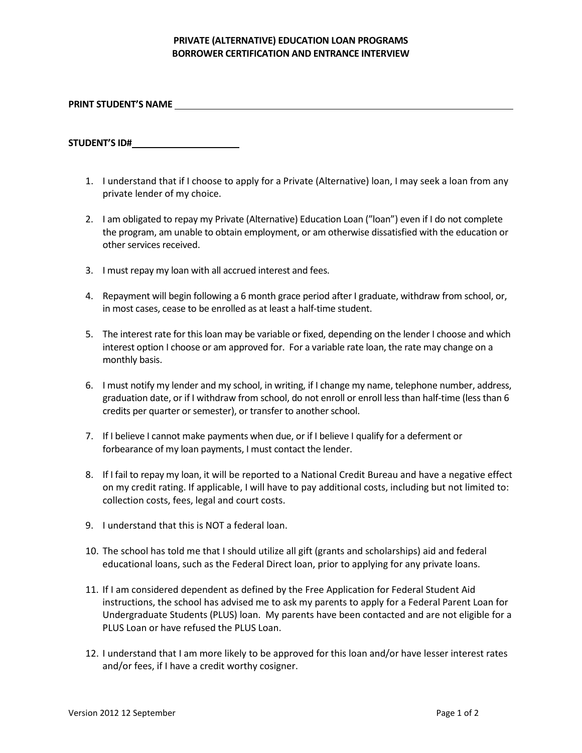## **PRIVATE (ALTERNATIVE) EDUCATION LOAN PROGRAMS BORROWER CERTIFICATION AND ENTRANCE INTERVIEW**

**PRINT STUDENT'S NAME** 

**STUDENT'S ID#**

- 1. I understand that if I choose to apply for a Private (Alternative) loan, I may seek a loan from any private lender of my choice.
- 2. I am obligated to repay my Private (Alternative) Education Loan ("loan") even if I do not complete the program, am unable to obtain employment, or am otherwise dissatisfied with the education or other services received.
- 3. I must repay my loan with all accrued interest and fees.
- 4. Repayment will begin following a 6 month grace period after I graduate, withdraw from school, or, in most cases, cease to be enrolled as at least a half-time student.
- 5. The interest rate for this loan may be variable or fixed, depending on the lender I choose and which interest option I choose or am approved for. For a variable rate loan, the rate may change on a monthly basis.
- 6. I must notify my lender and my school, in writing, if I change my name, telephone number, address, graduation date, or if I withdraw from school, do not enroll or enroll less than half-time (less than 6 credits per quarter or semester), or transfer to another school.
- 7. If I believe I cannot make payments when due, or if I believe I qualify for a deferment or forbearance of my loan payments, I must contact the lender.
- 8. If I fail to repay my loan, it will be reported to a National Credit Bureau and have a negative effect on my credit rating. If applicable, I will have to pay additional costs, including but not limited to: collection costs, fees, legal and court costs.
- 9. I understand that this is NOT a federal loan.
- 10. The school has told me that I should utilize all gift (grants and scholarships) aid and federal educational loans, such as the Federal Direct loan, prior to applying for any private loans.
- 11. If I am considered dependent as defined by the Free Application for Federal Student Aid instructions, the school has advised me to ask my parents to apply for a Federal Parent Loan for Undergraduate Students (PLUS) loan. My parents have been contacted and are not eligible for a PLUS Loan or have refused the PLUS Loan.
- 12. I understand that I am more likely to be approved for this loan and/or have lesser interest rates and/or fees, if I have a credit worthy cosigner.